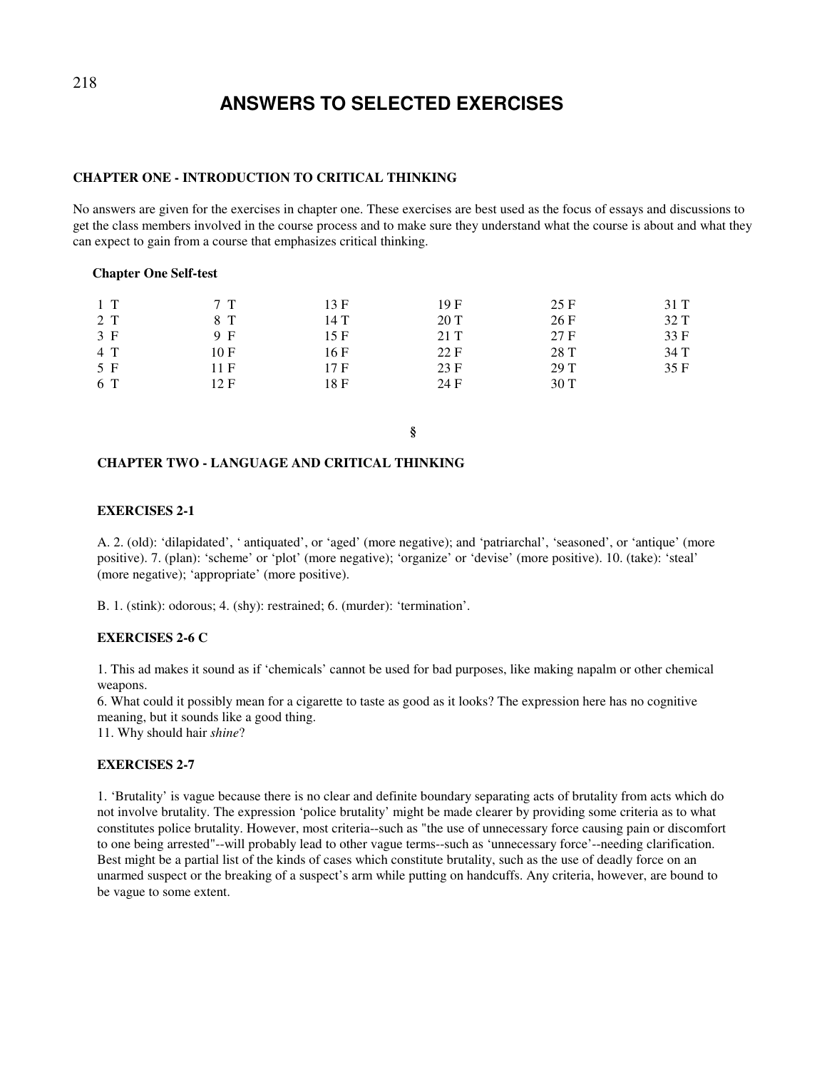# **ANSWERS TO SELECTED EXERCISES**

# **CHAPTER ONE - INTRODUCTION TO CRITICAL THINKING**

No answers are given for the exercises in chapter one. These exercises are best used as the focus of essays and discussions to get the class members involved in the course process and to make sure they understand what the course is about and what they can expect to gain from a course that emphasizes critical thinking.

#### **Chapter One Self-test**

| 1T  | 7 T  | 13 F | 19 F | 25 F | 31 T |
|-----|------|------|------|------|------|
| 2 T | 8 T  | 14T  | 20T  | 26F  | 32T  |
| 3 F | 9 F  | 15 F | 21T  | 27F  | 33 F |
| 4 T | 10 F | 16F  | 22 F | 28 T | 34T  |
| 5 F | 11 F | 17F  | 23 F | 29T  | 35 F |
| 6 T | 12 F | 18 F | 24 F | 30T  |      |

**§**

#### **CHAPTER TWO - LANGUAGE AND CRITICAL THINKING**

#### **EXERCISES 2-1**

A. 2. (old): 'dilapidated', ' antiquated', or 'aged' (more negative); and 'patriarchal', 'seasoned', or 'antique' (more positive). 7. (plan): 'scheme' or 'plot' (more negative); 'organize' or 'devise' (more positive). 10. (take): 'steal' (more negative); 'appropriate' (more positive).

B. 1. (stink): odorous; 4. (shy): restrained; 6. (murder): 'termination'.

## **EXERCISES 2-6 C**

1. This ad makes it sound as if 'chemicals' cannot be used for bad purposes, like making napalm or other chemical weapons.

6. What could it possibly mean for a cigarette to taste as good as it looks? The expression here has no cognitive meaning, but it sounds like a good thing.

11. Why should hair *shine*?

### **EXERCISES 2-7**

1. 'Brutality' is vague because there is no clear and definite boundary separating acts of brutality from acts which do not involve brutality. The expression 'police brutality' might be made clearer by providing some criteria as to what constitutes police brutality. However, most criteria--such as "the use of unnecessary force causing pain or discomfort to one being arrested"--will probably lead to other vague terms--such as 'unnecessary force'--needing clarification. Best might be a partial list of the kinds of cases which constitute brutality, such as the use of deadly force on an unarmed suspect or the breaking of a suspect's arm while putting on handcuffs. Any criteria, however, are bound to be vague to some extent.

218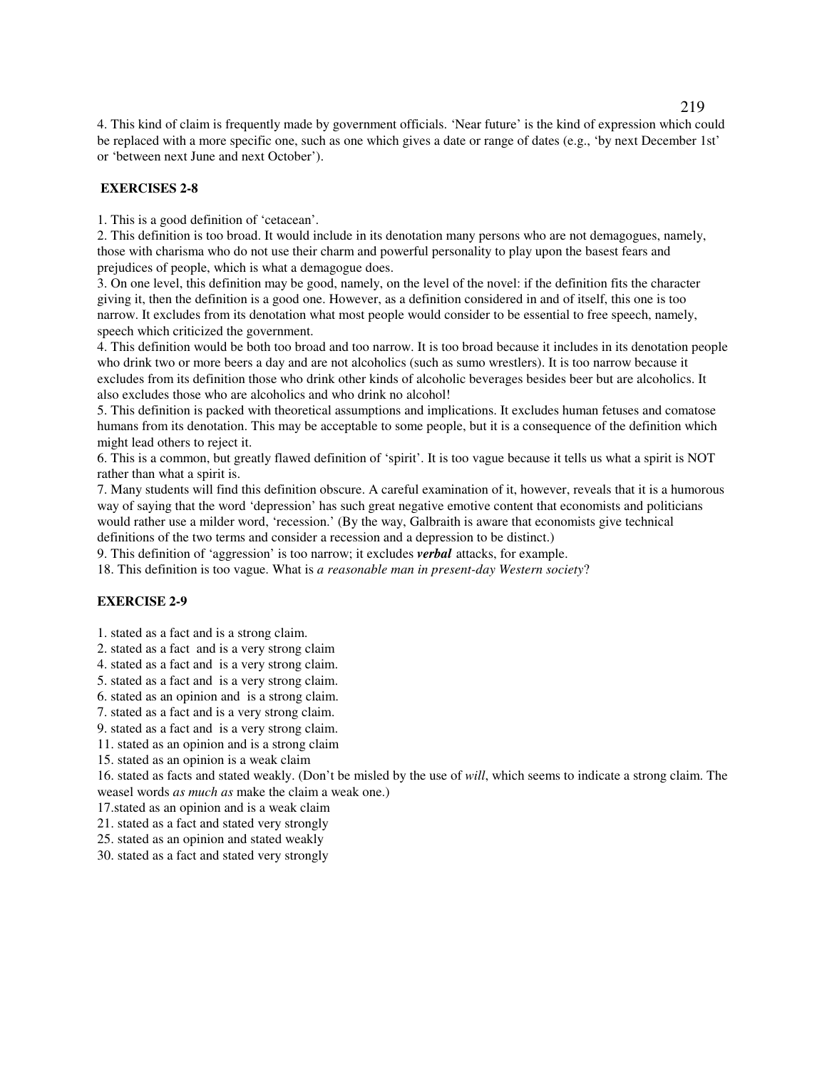4. This kind of claim is frequently made by government officials. 'Near future' is the kind of expression which could be replaced with a more specific one, such as one which gives a date or range of dates (e.g., 'by next December 1st' or 'between next June and next October').

#### **EXERCISES 2-8**

1. This is a good definition of 'cetacean'.

2. This definition is too broad. It would include in its denotation many persons who are not demagogues, namely, those with charisma who do not use their charm and powerful personality to play upon the basest fears and prejudices of people, which is what a demagogue does.

3. On one level, this definition may be good, namely, on the level of the novel: if the definition fits the character giving it, then the definition is a good one. However, as a definition considered in and of itself, this one is too narrow. It excludes from its denotation what most people would consider to be essential to free speech, namely, speech which criticized the government.

4. This definition would be both too broad and too narrow. It is too broad because it includes in its denotation people who drink two or more beers a day and are not alcoholics (such as sumo wrestlers). It is too narrow because it excludes from its definition those who drink other kinds of alcoholic beverages besides beer but are alcoholics. It also excludes those who are alcoholics and who drink no alcohol!

5. This definition is packed with theoretical assumptions and implications. It excludes human fetuses and comatose humans from its denotation. This may be acceptable to some people, but it is a consequence of the definition which might lead others to reject it.

6. This is a common, but greatly flawed definition of 'spirit'. It is too vague because it tells us what a spirit is NOT rather than what a spirit is.

7. Many students will find this definition obscure. A careful examination of it, however, reveals that it is a humorous way of saying that the word 'depression' has such great negative emotive content that economists and politicians would rather use a milder word, 'recession.' (By the way, Galbraith is aware that economists give technical definitions of the two terms and consider a recession and a depression to be distinct.)

9. This definition of 'aggression' is too narrow; it excludes *verbal* attacks, for example.

18. This definition is too vague. What is *a reasonable man in present-day Western society*?

# **EXERCISE 2-9**

1. stated as a fact and is a strong claim.

2. stated as a fact and is a very strong claim

- 4. stated as a fact and is a very strong claim.
- 5. stated as a fact and is a very strong claim.
- 6. stated as an opinion and is a strong claim.
- 7. stated as a fact and is a very strong claim.
- 9. stated as a fact and is a very strong claim.
- 11. stated as an opinion and is a strong claim
- 15. stated as an opinion is a weak claim

16. stated as facts and stated weakly. (Don't be misled by the use of *will*, which seems to indicate a strong claim. The weasel words *as much as* make the claim a weak one.)

17.stated as an opinion and is a weak claim

21. stated as a fact and stated very strongly

25. stated as an opinion and stated weakly

30. stated as a fact and stated very strongly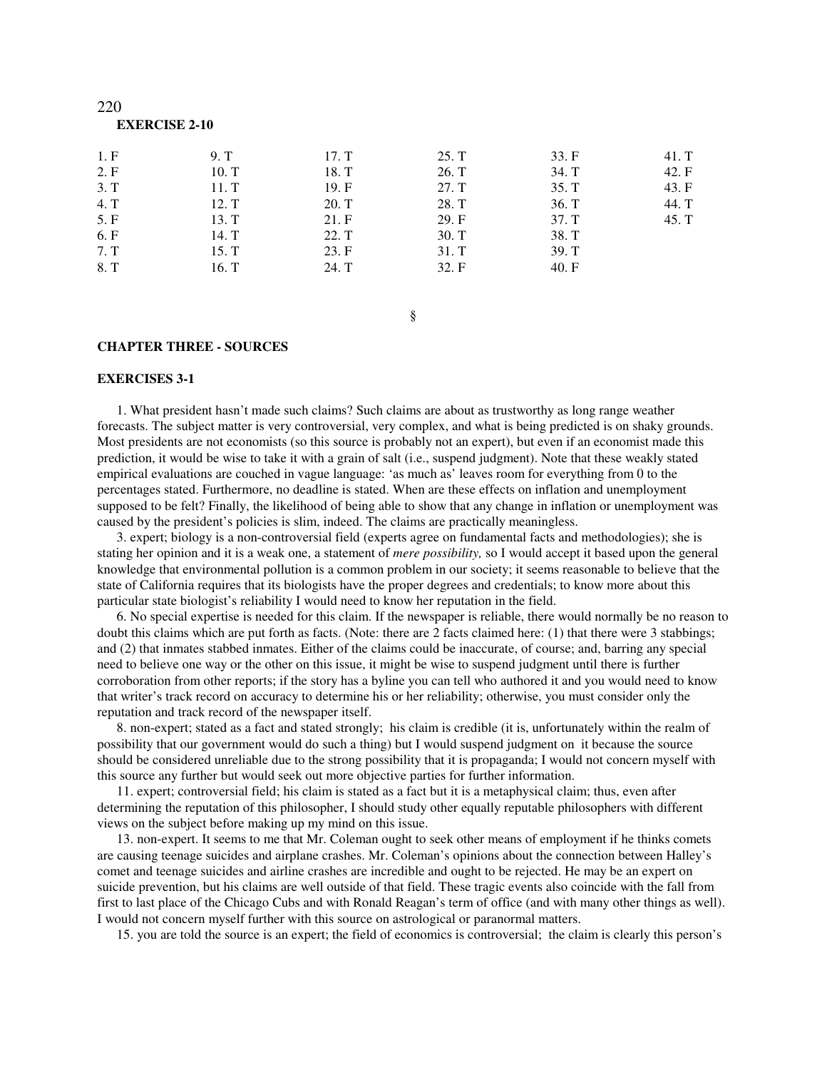# 220 **EXERCISE 2-10**

| 1.F  | 9. T  | 17. T | 25. T | 33. F | 41. T |
|------|-------|-------|-------|-------|-------|
| 2.F  | 10. T | 18. T | 26. T | 34. T | 42. F |
| 3. T | 11. T | 19. F | 27. T | 35. T | 43. F |
| 4. T | 12. T | 20. T | 28. T | 36. T | 44. T |
| 5. F | 13. T | 21.F  | 29. F | 37. T | 45. T |
| 6. F | 14. T | 22. T | 30. T | 38. T |       |
| 7. T | 15. T | 23.F  | 31. T | 39. T |       |
| 8. T | 16. T | 24. T | 32. F | 40. F |       |

§

#### **CHAPTER THREE - SOURCES**

#### **EXERCISES 3-1**

1. What president hasn't made such claims? Such claims are about as trustworthy as long range weather forecasts. The subject matter is very controversial, very complex, and what is being predicted is on shaky grounds. Most presidents are not economists (so this source is probably not an expert), but even if an economist made this prediction, it would be wise to take it with a grain of salt (i.e., suspend judgment). Note that these weakly stated empirical evaluations are couched in vague language: 'as much as' leaves room for everything from 0 to the percentages stated. Furthermore, no deadline is stated. When are these effects on inflation and unemployment supposed to be felt? Finally, the likelihood of being able to show that any change in inflation or unemployment was caused by the president's policies is slim, indeed. The claims are practically meaningless.

3. expert; biology is a non-controversial field (experts agree on fundamental facts and methodologies); she is stating her opinion and it is a weak one, a statement of *mere possibility,* so I would accept it based upon the general knowledge that environmental pollution is a common problem in our society; it seems reasonable to believe that the state of California requires that its biologists have the proper degrees and credentials; to know more about this particular state biologist's reliability I would need to know her reputation in the field.

6. No special expertise is needed for this claim. If the newspaper is reliable, there would normally be no reason to doubt this claims which are put forth as facts. (Note: there are 2 facts claimed here: (1) that there were 3 stabbings; and (2) that inmates stabbed inmates. Either of the claims could be inaccurate, of course; and, barring any special need to believe one way or the other on this issue, it might be wise to suspend judgment until there is further corroboration from other reports; if the story has a byline you can tell who authored it and you would need to know that writer's track record on accuracy to determine his or her reliability; otherwise, you must consider only the reputation and track record of the newspaper itself.

8. non-expert; stated as a fact and stated strongly; his claim is credible (it is, unfortunately within the realm of possibility that our government would do such a thing) but I would suspend judgment on it because the source should be considered unreliable due to the strong possibility that it is propaganda; I would not concern myself with this source any further but would seek out more objective parties for further information.

11. expert; controversial field; his claim is stated as a fact but it is a metaphysical claim; thus, even after determining the reputation of this philosopher, I should study other equally reputable philosophers with different views on the subject before making up my mind on this issue.

13. non-expert. It seems to me that Mr. Coleman ought to seek other means of employment if he thinks comets are causing teenage suicides and airplane crashes. Mr. Coleman's opinions about the connection between Halley's comet and teenage suicides and airline crashes are incredible and ought to be rejected. He may be an expert on suicide prevention, but his claims are well outside of that field. These tragic events also coincide with the fall from first to last place of the Chicago Cubs and with Ronald Reagan's term of office (and with many other things as well). I would not concern myself further with this source on astrological or paranormal matters.

15. you are told the source is an expert; the field of economics is controversial; the claim is clearly this person's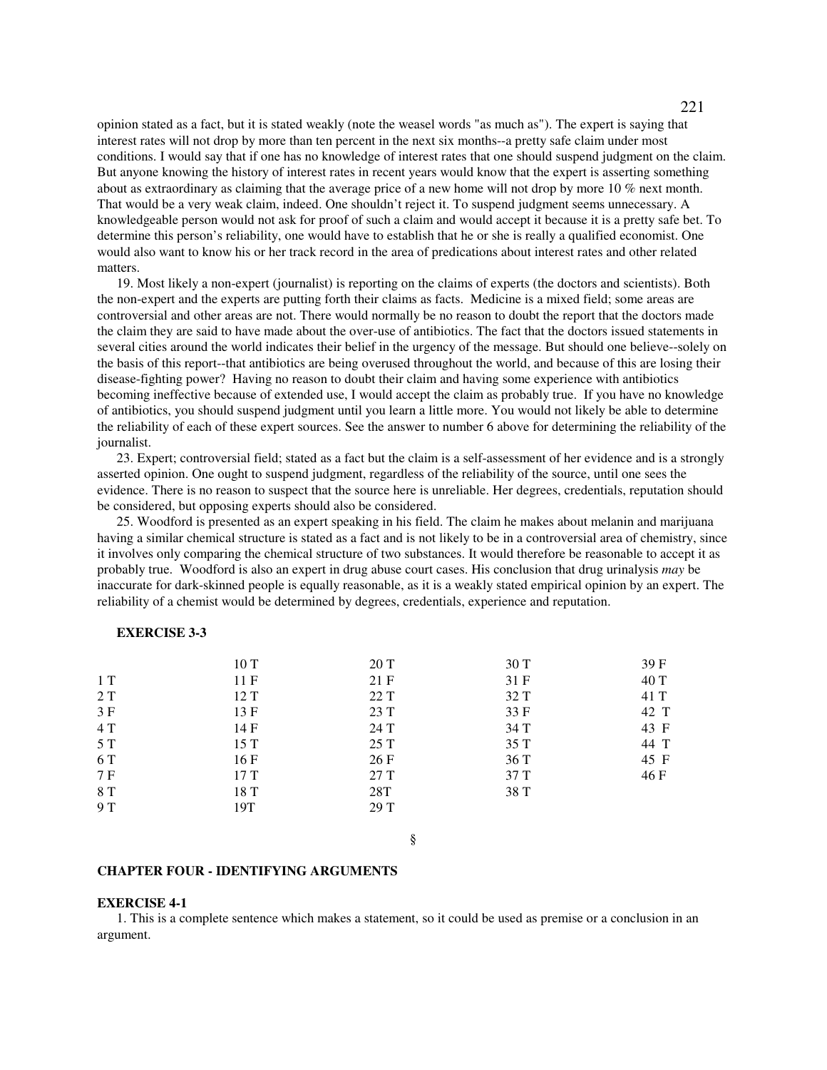opinion stated as a fact, but it is stated weakly (note the weasel words "as much as"). The expert is saying that interest rates will not drop by more than ten percent in the next six months--a pretty safe claim under most conditions. I would say that if one has no knowledge of interest rates that one should suspend judgment on the claim. But anyone knowing the history of interest rates in recent years would know that the expert is asserting something about as extraordinary as claiming that the average price of a new home will not drop by more 10 % next month. That would be a very weak claim, indeed. One shouldn't reject it. To suspend judgment seems unnecessary. A knowledgeable person would not ask for proof of such a claim and would accept it because it is a pretty safe bet. To determine this person's reliability, one would have to establish that he or she is really a qualified economist. One would also want to know his or her track record in the area of predications about interest rates and other related matters.

19. Most likely a non-expert (journalist) is reporting on the claims of experts (the doctors and scientists). Both the non-expert and the experts are putting forth their claims as facts. Medicine is a mixed field; some areas are controversial and other areas are not. There would normally be no reason to doubt the report that the doctors made the claim they are said to have made about the over-use of antibiotics. The fact that the doctors issued statements in several cities around the world indicates their belief in the urgency of the message. But should one believe--solely on the basis of this report--that antibiotics are being overused throughout the world, and because of this are losing their disease-fighting power? Having no reason to doubt their claim and having some experience with antibiotics becoming ineffective because of extended use, I would accept the claim as probably true. If you have no knowledge of antibiotics, you should suspend judgment until you learn a little more. You would not likely be able to determine the reliability of each of these expert sources. See the answer to number 6 above for determining the reliability of the journalist.

23. Expert; controversial field; stated as a fact but the claim is a self-assessment of her evidence and is a strongly asserted opinion. One ought to suspend judgment, regardless of the reliability of the source, until one sees the evidence. There is no reason to suspect that the source here is unreliable. Her degrees, credentials, reputation should be considered, but opposing experts should also be considered.

25. Woodford is presented as an expert speaking in his field. The claim he makes about melanin and marijuana having a similar chemical structure is stated as a fact and is not likely to be in a controversial area of chemistry, since it involves only comparing the chemical structure of two substances. It would therefore be reasonable to accept it as probably true. Woodford is also an expert in drug abuse court cases. His conclusion that drug urinalysis *may* be inaccurate for dark-skinned people is equally reasonable, as it is a weakly stated empirical opinion by an expert. The reliability of a chemist would be determined by degrees, credentials, experience and reputation.

## **EXERCISE 3-3**

|     | 10T  | 20T  | 30T  | 39 F |
|-----|------|------|------|------|
| 1T  | 11F  | 21 F | 31 F | 40T  |
| 2T  | 12T  | 22T  | 32T  | 41T  |
| 3F  | 13F  | 23T  | 33 F | 42 T |
| 4T  | 14 F | 24T  | 34 T | 43 F |
| 5T  | 15T  | 25T  | 35 T | 44 T |
| 6 T | 16F  | 26 F | 36 T | 45 F |
| 7F  | 17T  | 27T  | 37 T | 46 F |
| 8 T | 18 T | 28T  | 38 T |      |
| 9 T | 19T  | 29T  |      |      |

§

## **CHAPTER FOUR - IDENTIFYING ARGUMENTS**

#### **EXERCISE 4-1**

1. This is a complete sentence which makes a statement, so it could be used as premise or a conclusion in an argument.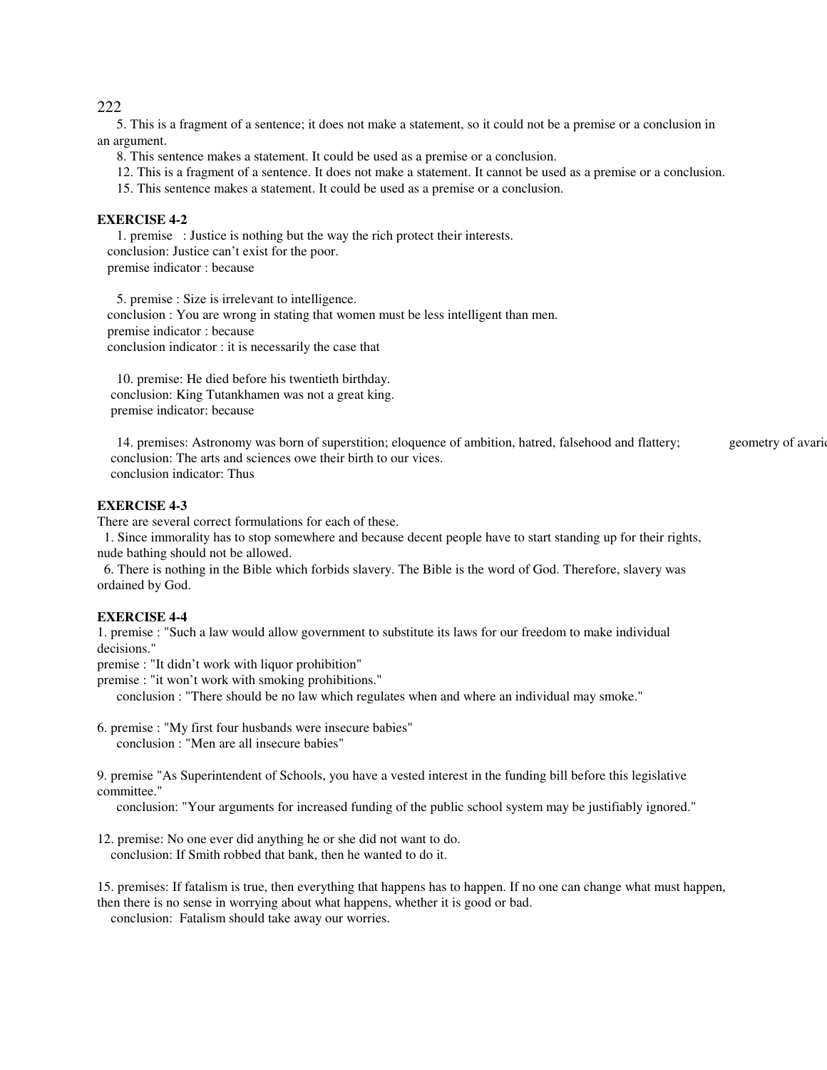5. This is a fragment of a sentence; it does not make a statement, so it could not be a premise or a conclusion in an argument.

8. This sentence makes a statement. It could be used as a premise or a conclusion.

- 12. This is a fragment of a sentence. It does not make a statement. It cannot be used as a premise or a conclusion.
- 15. This sentence makes a statement. It could be used as a premise or a conclusion.

#### **EXERCISE 4-2**

1. premise : Justice is nothing but the way the rich protect their interests. conclusion: Justice can't exist for the poor. premise indicator : because

5. premise : Size is irrelevant to intelligence. conclusion : You are wrong in stating that women must be less intelligent than men. premise indicator : because conclusion indicator : it is necessarily the case that

10. premise: He died before his twentieth birthday. conclusion: King Tutankhamen was not a great king. premise indicator: because

14. premises: Astronomy was born of superstition; eloquence of ambition, hatred, falsehood and flattery; geometry of avarie conclusion: The arts and sciences owe their birth to our vices. conclusion indicator: Thus

### **EXERCISE 4-3**

There are several correct formulations for each of these.

1. Since immorality has to stop somewhere and because decent people have to start standing up for their rights, nude bathing should not be allowed.

6. There is nothing in the Bible which forbids slavery. The Bible is the word of God. Therefore, slavery was ordained by God.

#### **EXERCISE 4-4**

1. premise : "Such a law would allow government to substitute its laws for our freedom to make individual decisions."

premise : "It didn't work with liquor prohibition"

premise : "it won't work with smoking prohibitions."

conclusion : "There should be no law which regulates when and where an individual may smoke."

6. premise : "My first four husbands were insecure babies" conclusion : "Men are all insecure babies"

9. premise "As Superintendent of Schools, you have a vested interest in the funding bill before this legislative committee."

conclusion: "Your arguments for increased funding of the public school system may be justifiably ignored."

12. premise: No one ever did anything he or she did not want to do. conclusion: If Smith robbed that bank, then he wanted to do it.

15. premises: If fatalism is true, then everything that happens has to happen. If no one can change what must happen, then there is no sense in worrying about what happens, whether it is good or bad.

conclusion: Fatalism should take away our worries.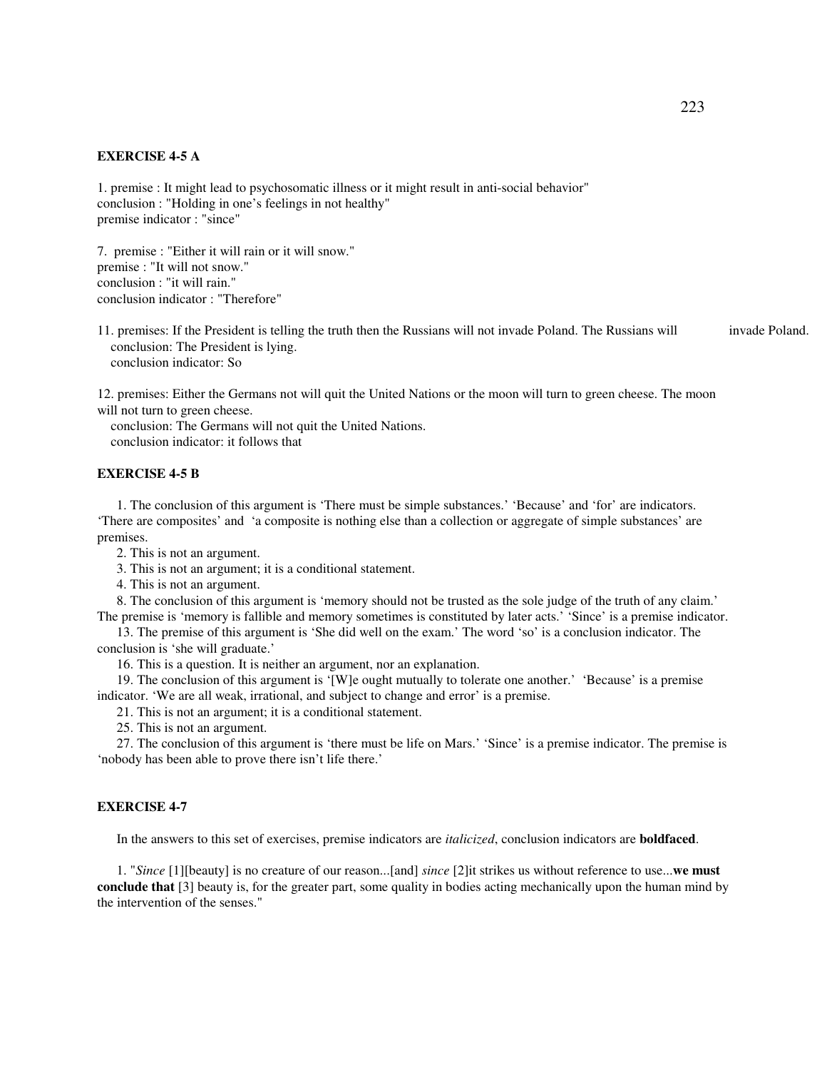#### **EXERCISE 4-5 A**

1. premise : It might lead to psychosomatic illness or it might result in anti-social behavior" conclusion : "Holding in one's feelings in not healthy" premise indicator : "since"

7. premise : "Either it will rain or it will snow." premise : "It will not snow." conclusion : "it will rain." conclusion indicator : "Therefore"

11. premises: If the President is telling the truth then the Russians will not invade Poland. The Russians will invade Poland. conclusion: The President is lying. conclusion indicator: So

12. premises: Either the Germans not will quit the United Nations or the moon will turn to green cheese. The moon will not turn to green cheese.

conclusion: The Germans will not quit the United Nations. conclusion indicator: it follows that

## **EXERCISE 4-5 B**

1. The conclusion of this argument is 'There must be simple substances.' 'Because' and 'for' are indicators. 'There are composites' and 'a composite is nothing else than a collection or aggregate of simple substances' are premises.

2. This is not an argument.

3. This is not an argument; it is a conditional statement.

4. This is not an argument.

8. The conclusion of this argument is 'memory should not be trusted as the sole judge of the truth of any claim.' The premise is 'memory is fallible and memory sometimes is constituted by later acts.' 'Since' is a premise indicator.

13. The premise of this argument is 'She did well on the exam.' The word 'so' is a conclusion indicator. The conclusion is 'she will graduate.'

16. This is a question. It is neither an argument, nor an explanation.

19. The conclusion of this argument is '[W]e ought mutually to tolerate one another.' 'Because' is a premise indicator. 'We are all weak, irrational, and subject to change and error' is a premise.

21. This is not an argument; it is a conditional statement.

25. This is not an argument.

27. The conclusion of this argument is 'there must be life on Mars.' 'Since' is a premise indicator. The premise is 'nobody has been able to prove there isn't life there.'

#### **EXERCISE 4-7**

In the answers to this set of exercises, premise indicators are *italicized*, conclusion indicators are **boldfaced**.

1. "*Since* [1][beauty] is no creature of our reason...[and] *since* [2]it strikes us without reference to use...**we must conclude that** [3] beauty is, for the greater part, some quality in bodies acting mechanically upon the human mind by the intervention of the senses."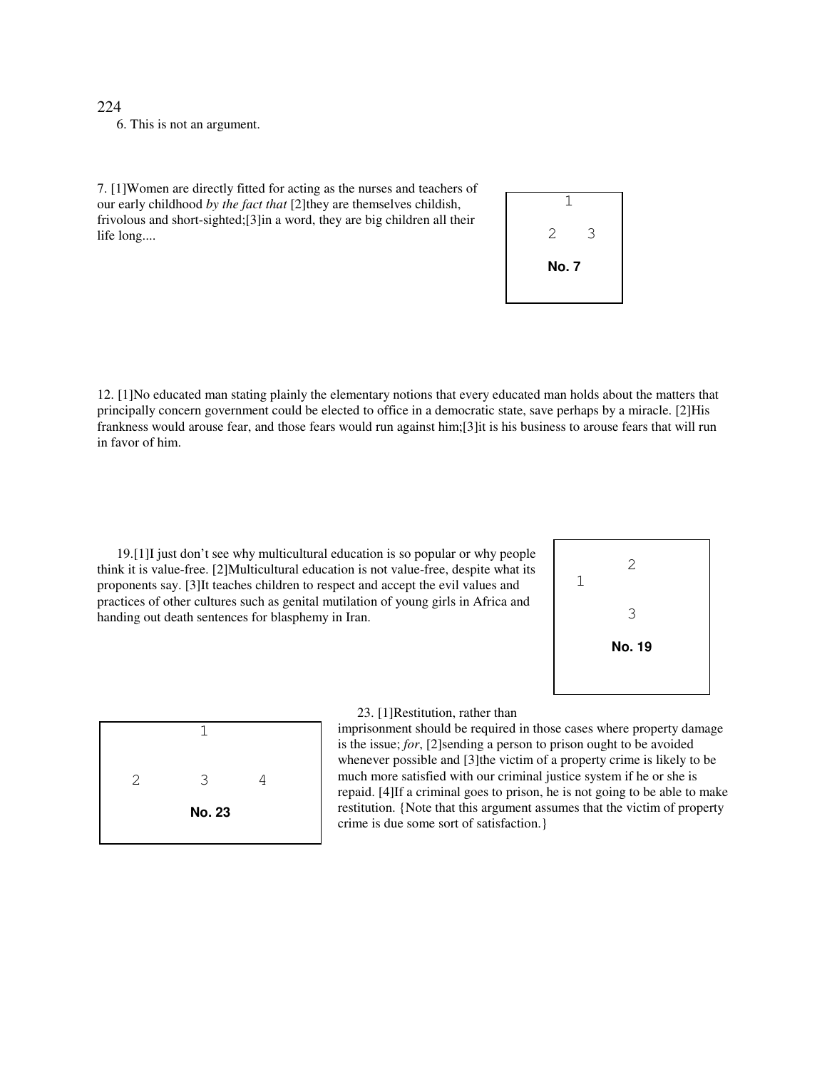# 224 6. This is not an argument.

7. [1]Women are directly fitted for acting as the nurses and teachers of our early childhood *by the fact that* [2]they are themselves childish, frivolous and short-sighted;[3]in a word, they are big children all their life long....

| 2           | 3 |
|-------------|---|
| <b>No.7</b> |   |
|             |   |

12. [1]No educated man stating plainly the elementary notions that every educated man holds about the matters that principally concern government could be elected to office in a democratic state, save perhaps by a miracle. [2]His frankness would arouse fear, and those fears would run against him;[3]it is his business to arouse fears that will run in favor of him.

19.[1]I just don't see why multicultural education is so popular or why people think it is value-free. [2]Multicultural education is not value-free, despite what its proponents say. [3]It teaches children to respect and accept the evil values and practices of other cultures such as genital mutilation of young girls in Africa and handing out death sentences for blasphemy in Iran.



|   | 1             |  |
|---|---------------|--|
| 2 | 3             |  |
|   | <b>No. 23</b> |  |
|   |               |  |

#### 23. [1]Restitution, rather than

imprisonment should be required in those cases where property damage is the issue; *for*, [2]sending a person to prison ought to be avoided whenever possible and [3]the victim of a property crime is likely to be much more satisfied with our criminal justice system if he or she is repaid. [4]If a criminal goes to prison, he is not going to be able to make restitution. {Note that this argument assumes that the victim of property crime is due some sort of satisfaction.}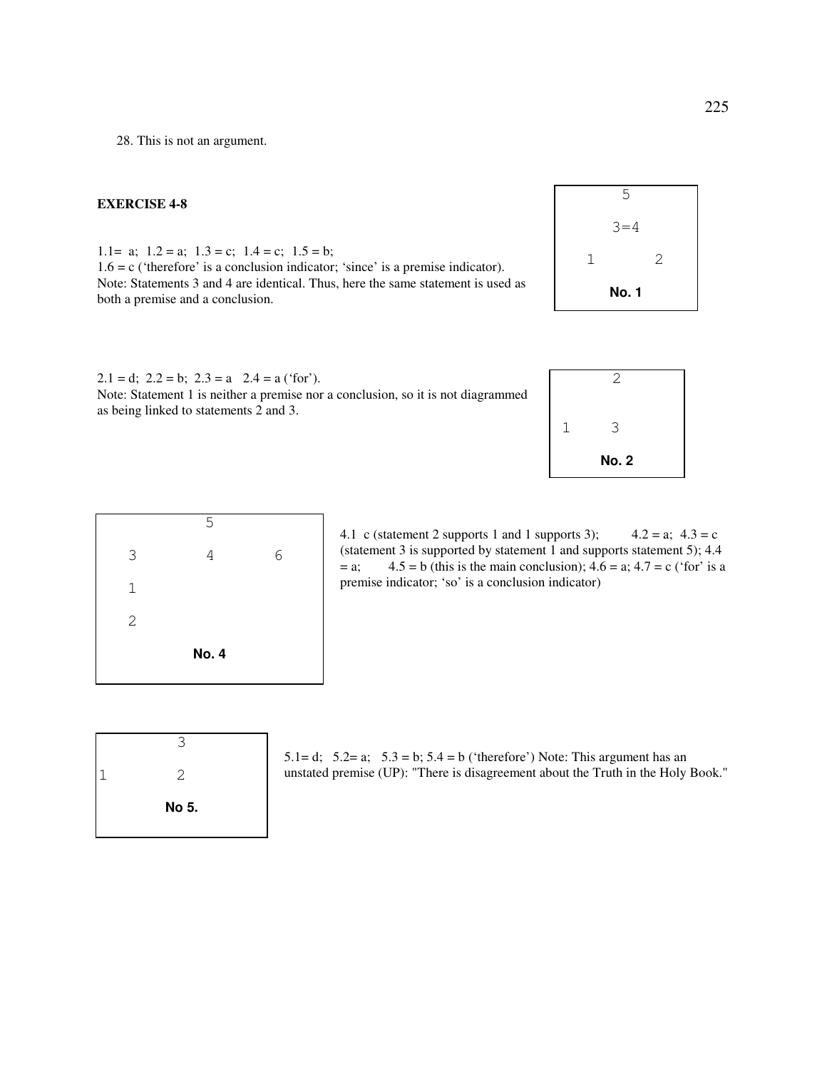28. This is not an argument.

## **EXERCISE 4-8**

1.1= a;  $1.2 = a$ ;  $1.3 = c$ ;  $1.4 = c$ ;  $1.5 = b$ ;

5

3 4 6

**No. 4**

1

2

1.6 = c ('therefore' is a conclusion indicator; 'since' is a premise indicator). Note: Statements 3 and 4 are identical. Thus, here the same statement is used as both a premise and a conclusion.

2.1 = d; 2.2 = b; 2.3 = a 2.4 = a ('for'). Note: Statement 1 is neither a premise nor a conclusion, so it is not diagrammed as being linked to statements 2 and 3.

| 4.1 c (statement 2 supports 1 and 1 supports 3);                                   | $4.2 = a$ ; $4.3 = c$ |  |
|------------------------------------------------------------------------------------|-----------------------|--|
| (statement 3 is supported by statement 1 and supports statement 5); $4.4$          |                       |  |
| $= a$ ; $4.5 = b$ (this is the main conclusion); $4.6 = a$ ; $4.7 = c$ ('for' is a |                       |  |
| premise indicator; 'so' is a conclusion indicator)                                 |                       |  |



5.1= d; 5.2= a;  $5.3 = b$ ;  $5.4 = b$  ('therefore') Note: This argument has an unstated premise (UP): "There is disagreement about the Truth in the Holy Book."

|   | 5            |                |  |
|---|--------------|----------------|--|
|   | $3 = 4$      |                |  |
| 1 |              | $\overline{2}$ |  |
|   | <b>No. 1</b> |                |  |

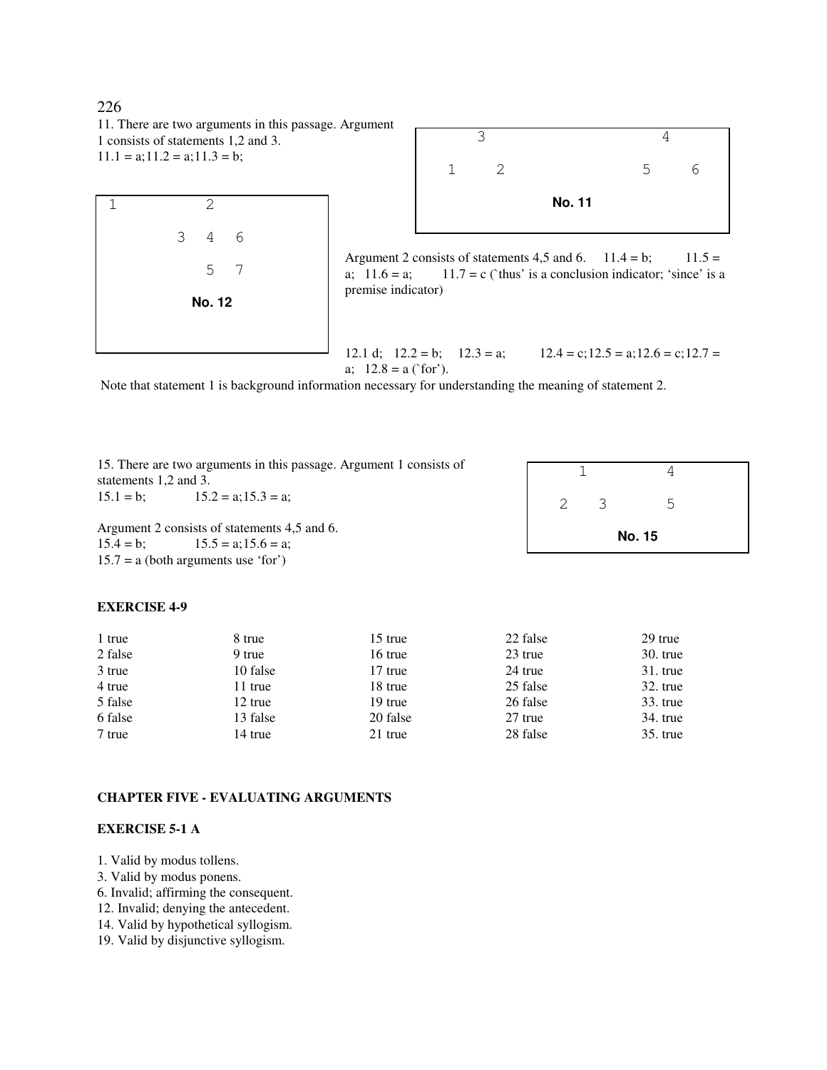11. There are two arguments in this passage. Argument 1 consists of statements 1,2 and 3.  $11.1 = a$ ;  $11.2 = a$ ;  $11.3 = b$ ;





Argument 2 consists of statements 4,5 and 6.  $11.4 = b$ ;  $11.5 =$ a;  $11.6 = a$ ;  $11.7 = c$  (`thus' is a conclusion indicator; 'since' is a premise indicator)

12.1 d;  $12.2 = b$ ;  $12.3 = a$ ;  $12.4 = c$ ;12.5 = a;12.6 = c;12.7 = a;  $12.8 = a$  (`for').

Note that statement 1 is background information necessary for understanding the meaning of statement 2.

15. There are two arguments in this passage. Argument 1 consists of statements 1,2 and 3.

 $15.1 = b$ ;  $15.2 = a$ ;  $15.3 = a$ ;

Argument 2 consists of statements 4,5 and 6.  $15.4 = b$ ;  $15.5 = a$ ;  $15.6 = a$ ;  $15.7 = a$  (both arguments use 'for')

#### **EXERCISE 4-9**

| っ | 3 | 5             |  |
|---|---|---------------|--|
|   |   | <b>No. 15</b> |  |

| 1 true  | 8 true   | 15 true  | 22 false | 29 true    |
|---------|----------|----------|----------|------------|
| 2 false | 9 true   | 16 true  | 23 true  | $30.$ true |
| 3 true  | 10 false | 17 true  | 24 true  | $31.$ true |
| 4 true  | 11 true  | 18 true  | 25 false | $32.$ true |
| 5 false | 12 true  | 19 true  | 26 false | 33. true   |
| 6 false | 13 false | 20 false | 27 true  | 34. true   |
| 7 true  | 14 true  | 21 true  | 28 false | $35.$ true |

### **CHAPTER FIVE - EVALUATING ARGUMENTS**

# **EXERCISE 5-1 A**

- 1. Valid by modus tollens.
- 3. Valid by modus ponens.

6. Invalid; affirming the consequent.

12. Invalid; denying the antecedent.

14. Valid by hypothetical syllogism.

19. Valid by disjunctive syllogism.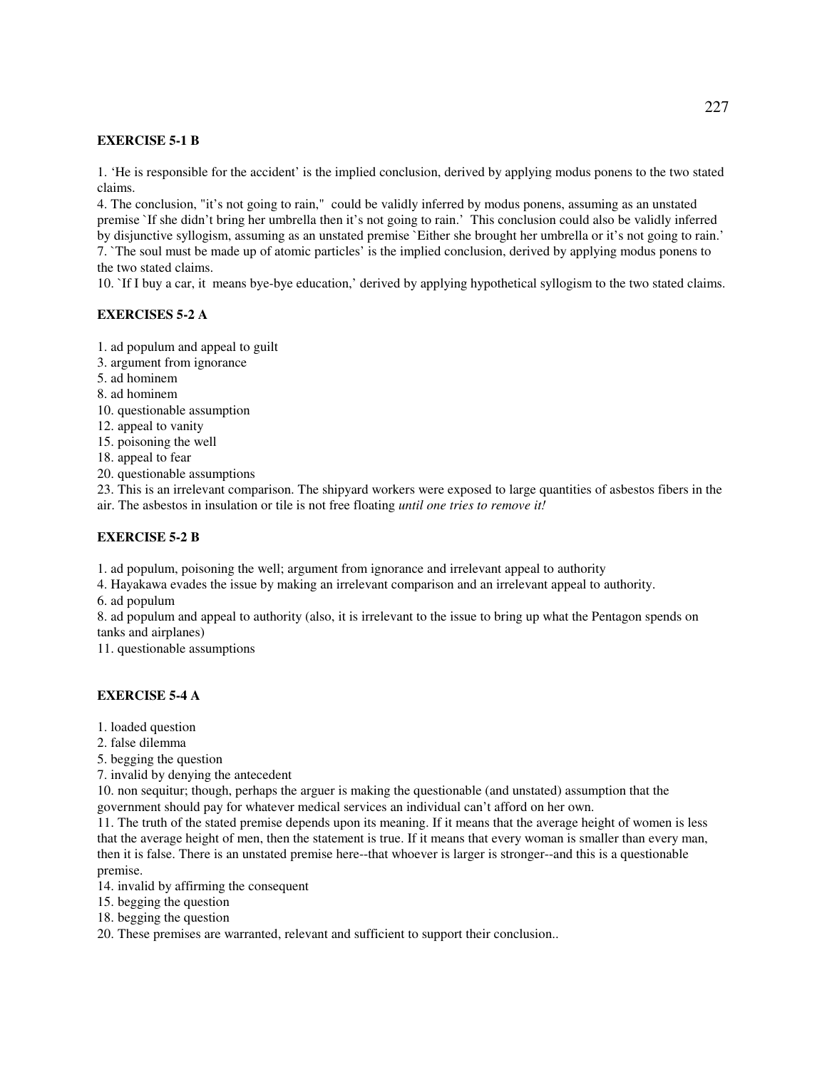# **EXERCISE 5-1 B**

1. 'He is responsible for the accident' is the implied conclusion, derived by applying modus ponens to the two stated claims.

4. The conclusion, "it's not going to rain," could be validly inferred by modus ponens, assuming as an unstated premise `If she didn't bring her umbrella then it's not going to rain.' This conclusion could also be validly inferred by disjunctive syllogism, assuming as an unstated premise `Either she brought her umbrella or it's not going to rain.' 7. `The soul must be made up of atomic particles' is the implied conclusion, derived by applying modus ponens to the two stated claims.

10. `If I buy a car, it means bye-bye education,' derived by applying hypothetical syllogism to the two stated claims.

# **EXERCISES 5-2 A**

1. ad populum and appeal to guilt

- 3. argument from ignorance
- 5. ad hominem
- 8. ad hominem
- 10. questionable assumption
- 12. appeal to vanity
- 15. poisoning the well
- 18. appeal to fear
- 20. questionable assumptions

23. This is an irrelevant comparison. The shipyard workers were exposed to large quantities of asbestos fibers in the air. The asbestos in insulation or tile is not free floating *until one tries to remove it!*

## **EXERCISE 5-2 B**

1. ad populum, poisoning the well; argument from ignorance and irrelevant appeal to authority

4. Hayakawa evades the issue by making an irrelevant comparison and an irrelevant appeal to authority.

6. ad populum

8. ad populum and appeal to authority (also, it is irrelevant to the issue to bring up what the Pentagon spends on tanks and airplanes)

11. questionable assumptions

#### **EXERCISE 5-4 A**

- 1. loaded question
- 2. false dilemma
- 5. begging the question
- 7. invalid by denying the antecedent

10. non sequitur; though, perhaps the arguer is making the questionable (and unstated) assumption that the government should pay for whatever medical services an individual can't afford on her own.

11. The truth of the stated premise depends upon its meaning. If it means that the average height of women is less that the average height of men, then the statement is true. If it means that every woman is smaller than every man, then it is false. There is an unstated premise here--that whoever is larger is stronger--and this is a questionable premise.

- 14. invalid by affirming the consequent
- 15. begging the question
- 18. begging the question

20. These premises are warranted, relevant and sufficient to support their conclusion..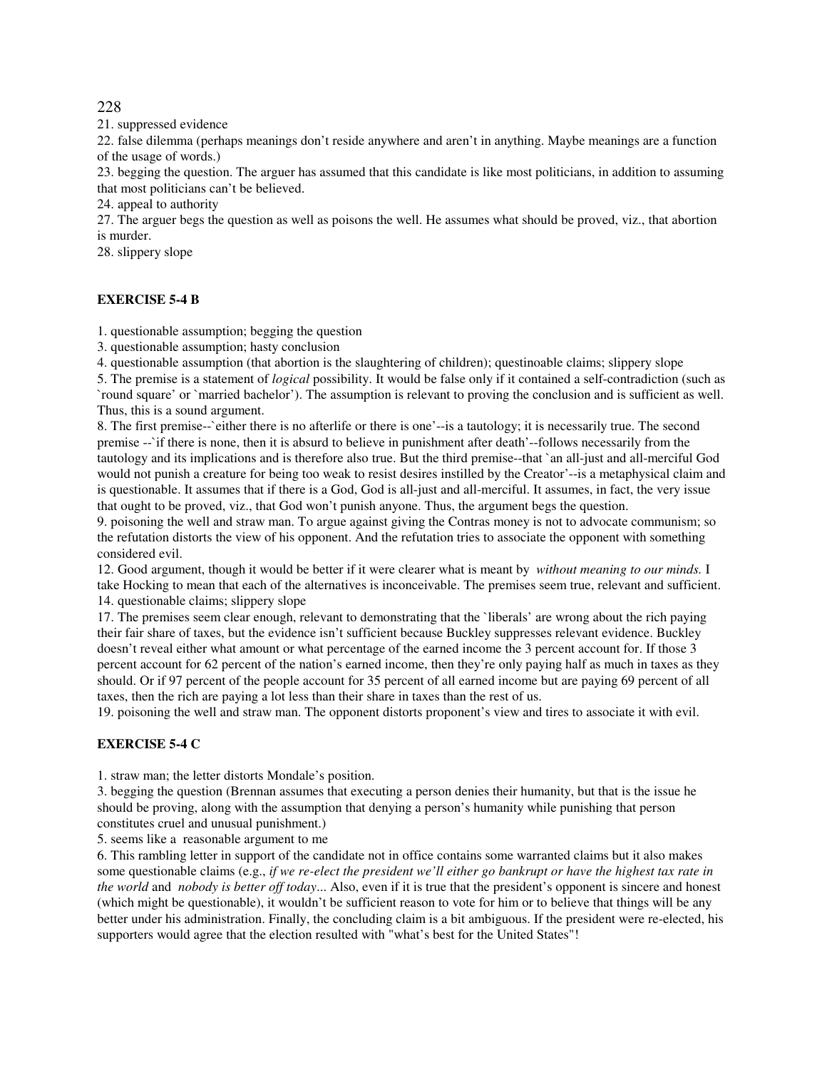21. suppressed evidence

22. false dilemma (perhaps meanings don't reside anywhere and aren't in anything. Maybe meanings are a function of the usage of words.)

23. begging the question. The arguer has assumed that this candidate is like most politicians, in addition to assuming that most politicians can't be believed.

24. appeal to authority

27. The arguer begs the question as well as poisons the well. He assumes what should be proved, viz., that abortion is murder.

28. slippery slope

#### **EXERCISE 5-4 B**

1. questionable assumption; begging the question

3. questionable assumption; hasty conclusion

4. questionable assumption (that abortion is the slaughtering of children); questinoable claims; slippery slope

5. The premise is a statement of *logical* possibility. It would be false only if it contained a self-contradiction (such as `round square' or `married bachelor'). The assumption is relevant to proving the conclusion and is sufficient as well. Thus, this is a sound argument.

8. The first premise--`either there is no afterlife or there is one'--is a tautology; it is necessarily true. The second premise --`if there is none, then it is absurd to believe in punishment after death'--follows necessarily from the tautology and its implications and is therefore also true. But the third premise--that `an all-just and all-merciful God would not punish a creature for being too weak to resist desires instilled by the Creator'--is a metaphysical claim and is questionable. It assumes that if there is a God, God is all-just and all-merciful. It assumes, in fact, the very issue that ought to be proved, viz., that God won't punish anyone. Thus, the argument begs the question.

9. poisoning the well and straw man. To argue against giving the Contras money is not to advocate communism; so the refutation distorts the view of his opponent. And the refutation tries to associate the opponent with something considered evil.

12. Good argument, though it would be better if it were clearer what is meant by *without meaning to our minds.* I take Hocking to mean that each of the alternatives is inconceivable. The premises seem true, relevant and sufficient. 14. questionable claims; slippery slope

17. The premises seem clear enough, relevant to demonstrating that the `liberals' are wrong about the rich paying their fair share of taxes, but the evidence isn't sufficient because Buckley suppresses relevant evidence. Buckley doesn't reveal either what amount or what percentage of the earned income the 3 percent account for. If those 3 percent account for 62 percent of the nation's earned income, then they're only paying half as much in taxes as they should. Or if 97 percent of the people account for 35 percent of all earned income but are paying 69 percent of all taxes, then the rich are paying a lot less than their share in taxes than the rest of us.

19. poisoning the well and straw man. The opponent distorts proponent's view and tires to associate it with evil.

# **EXERCISE 5-4 C**

1. straw man; the letter distorts Mondale's position.

3. begging the question (Brennan assumes that executing a person denies their humanity, but that is the issue he should be proving, along with the assumption that denying a person's humanity while punishing that person constitutes cruel and unusual punishment.)

5. seems like a reasonable argument to me

6. This rambling letter in support of the candidate not in office contains some warranted claims but it also makes some questionable claims (e.g., if we re-elect the president we'll either go bankrupt or have the highest tax rate in *the world* and *nobody is better off today*... Also, even if it is true that the president's opponent is sincere and honest (which might be questionable), it wouldn't be sufficient reason to vote for him or to believe that things will be any better under his administration. Finally, the concluding claim is a bit ambiguous. If the president were re-elected, his supporters would agree that the election resulted with "what's best for the United States"!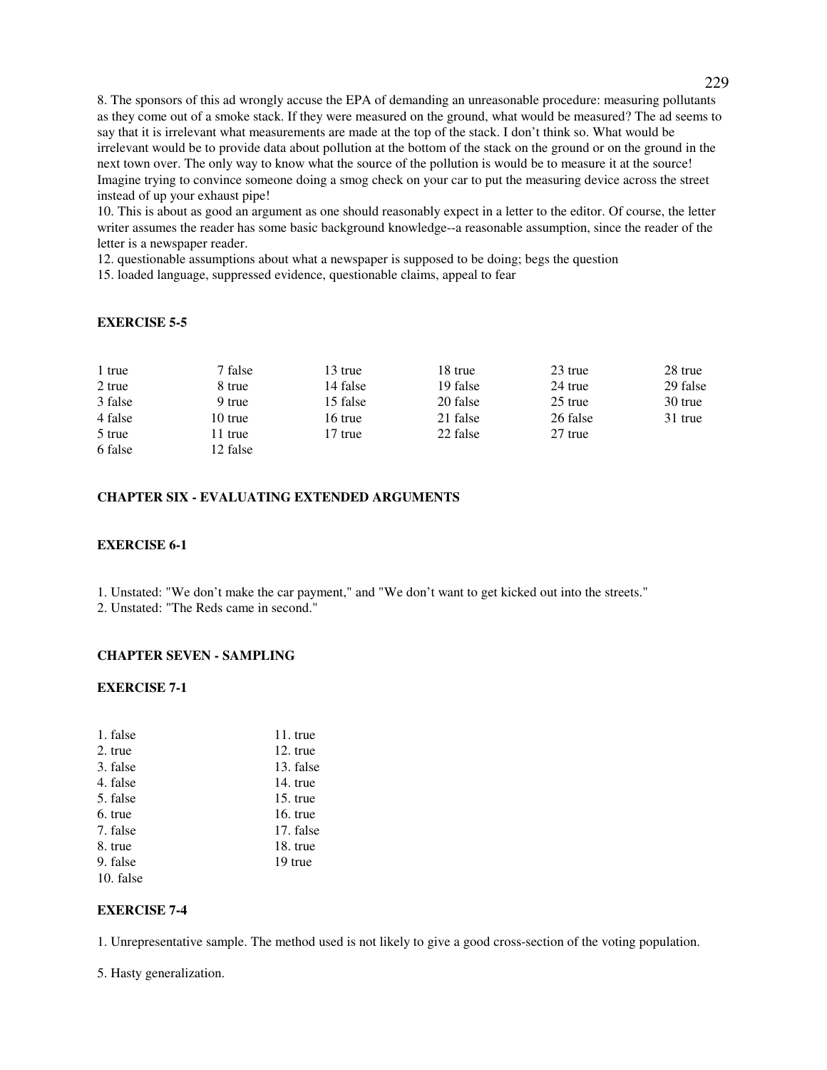8. The sponsors of this ad wrongly accuse the EPA of demanding an unreasonable procedure: measuring pollutants as they come out of a smoke stack. If they were measured on the ground, what would be measured? The ad seems to say that it is irrelevant what measurements are made at the top of the stack. I don't think so. What would be irrelevant would be to provide data about pollution at the bottom of the stack on the ground or on the ground in the next town over. The only way to know what the source of the pollution is would be to measure it at the source! Imagine trying to convince someone doing a smog check on your car to put the measuring device across the street instead of up your exhaust pipe!

10. This is about as good an argument as one should reasonably expect in a letter to the editor. Of course, the letter writer assumes the reader has some basic background knowledge--a reasonable assumption, since the reader of the letter is a newspaper reader.

12. questionable assumptions about what a newspaper is supposed to be doing; begs the question

15. loaded language, suppressed evidence, questionable claims, appeal to fear

## **EXERCISE 5-5**

| 1 true  | 7 false  | 13 true  | 18 true  | 23 true  | 28 true  |
|---------|----------|----------|----------|----------|----------|
| 2 true  | 8 true   | 14 false | 19 false | 24 true  | 29 false |
| 3 false | 9 true   | 15 false | 20 false | 25 true  | 30 true  |
| 4 false | 10 true  | 16 true  | 21 false | 26 false | 31 true  |
| 5 true  | 11 true  | 17 true  | 22 false | 27 true  |          |
| 6 false | 12 false |          |          |          |          |

# **CHAPTER SIX - EVALUATING EXTENDED ARGUMENTS**

#### **EXERCISE 6-1**

1. Unstated: "We don't make the car payment," and "We don't want to get kicked out into the streets."

2. Unstated: "The Reds came in second."

## **CHAPTER SEVEN - SAMPLING**

## **EXERCISE 7-1**

| 1. false  | 11. $true$ |
|-----------|------------|
| 2. true   | 12. $true$ |
| 3. false  | 13. false  |
| 4. false  | 14. true   |
| 5. false  | $15.$ true |
| 6. true   | $16.$ true |
| 7. false  | 17. false  |
| 8. true   | 18. true   |
| 9. false  | 19 true    |
| 10. false |            |

#### **EXERCISE 7-4**

1. Unrepresentative sample. The method used is not likely to give a good cross-section of the voting population.

5. Hasty generalization.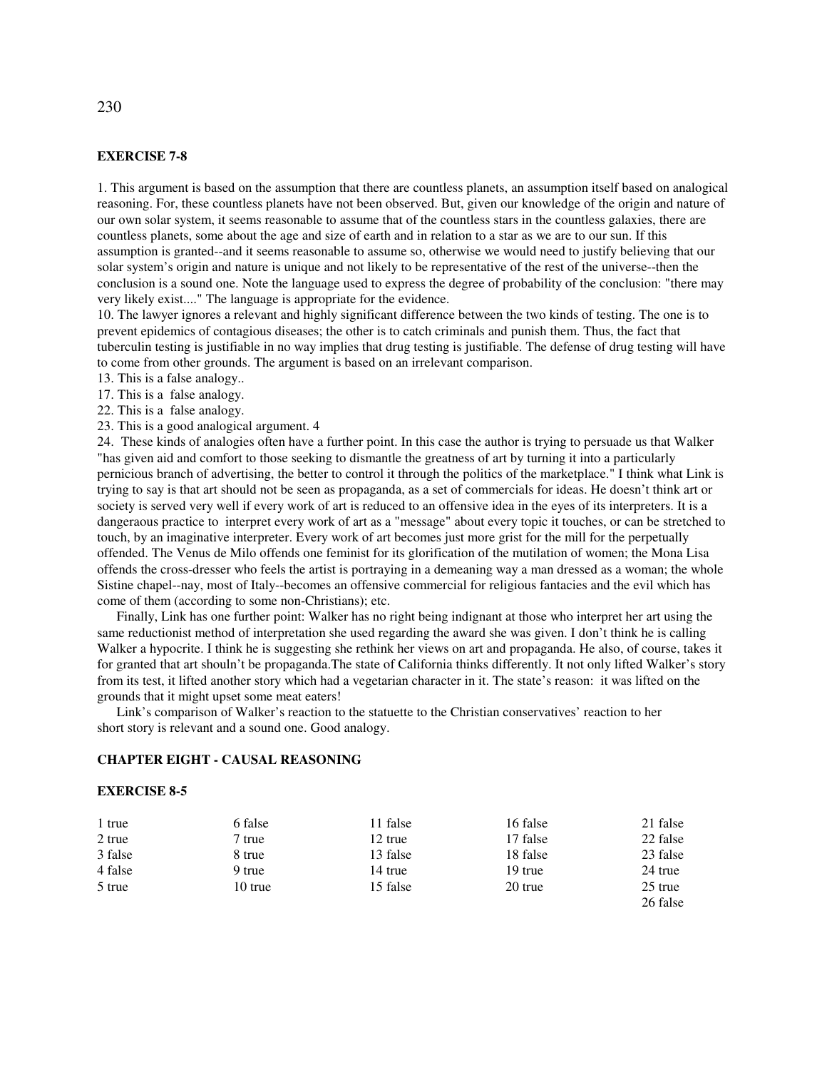#### **EXERCISE 7-8**

1. This argument is based on the assumption that there are countless planets, an assumption itself based on analogical reasoning. For, these countless planets have not been observed. But, given our knowledge of the origin and nature of our own solar system, it seems reasonable to assume that of the countless stars in the countless galaxies, there are countless planets, some about the age and size of earth and in relation to a star as we are to our sun. If this assumption is granted--and it seems reasonable to assume so, otherwise we would need to justify believing that our solar system's origin and nature is unique and not likely to be representative of the rest of the universe--then the conclusion is a sound one. Note the language used to express the degree of probability of the conclusion: "there may very likely exist...." The language is appropriate for the evidence.

10. The lawyer ignores a relevant and highly significant difference between the two kinds of testing. The one is to prevent epidemics of contagious diseases; the other is to catch criminals and punish them. Thus, the fact that tuberculin testing is justifiable in no way implies that drug testing is justifiable. The defense of drug testing will have to come from other grounds. The argument is based on an irrelevant comparison.

- 13. This is a false analogy..
- 17. This is a false analogy.
- 22. This is a false analogy.
- 23. This is a good analogical argument. 4

24. These kinds of analogies often have a further point. In this case the author is trying to persuade us that Walker "has given aid and comfort to those seeking to dismantle the greatness of art by turning it into a particularly pernicious branch of advertising, the better to control it through the politics of the marketplace." I think what Link is trying to say is that art should not be seen as propaganda, as a set of commercials for ideas. He doesn't think art or society is served very well if every work of art is reduced to an offensive idea in the eyes of its interpreters. It is a dangeraous practice to interpret every work of art as a "message" about every topic it touches, or can be stretched to touch, by an imaginative interpreter. Every work of art becomes just more grist for the mill for the perpetually offended. The Venus de Milo offends one feminist for its glorification of the mutilation of women; the Mona Lisa offends the cross-dresser who feels the artist is portraying in a demeaning way a man dressed as a woman; the whole Sistine chapel--nay, most of Italy--becomes an offensive commercial for religious fantacies and the evil which has come of them (according to some non-Christians); etc.

Finally, Link has one further point: Walker has no right being indignant at those who interpret her art using the same reductionist method of interpretation she used regarding the award she was given. I don't think he is calling Walker a hypocrite. I think he is suggesting she rethink her views on art and propaganda. He also, of course, takes it for granted that art shouln't be propaganda.The state of California thinks differently. It not only lifted Walker's story from its test, it lifted another story which had a vegetarian character in it. The state's reason: it was lifted on the grounds that it might upset some meat eaters!

Link's comparison of Walker's reaction to the statuette to the Christian conservatives' reaction to her short story is relevant and a sound one. Good analogy.

#### **CHAPTER EIGHT - CAUSAL REASONING**

#### **EXERCISE 8-5**

| 1 true  | 6 false       | 11 false | 16 false | 21 false |
|---------|---------------|----------|----------|----------|
| 2 true  | $\sigma$ true | 12 true  | 17 false | 22 false |
| 3 false | 8 true        | 13 false | 18 false | 23 false |
| 4 false | 9 true        | 14 true  | 19 true  | 24 true  |
| 5 true  | 10 true       | 15 false | 20 true  | 25 true  |
|         |               |          |          | 26 false |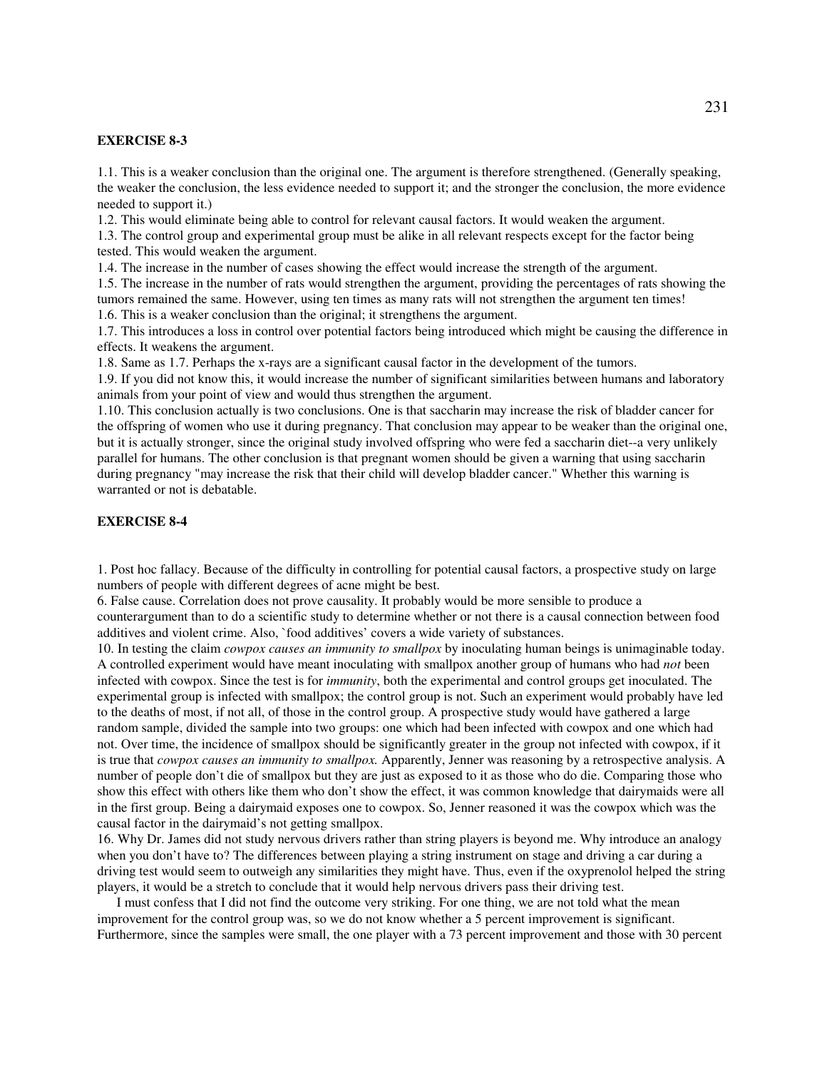## **EXERCISE 8-3**

1.1. This is a weaker conclusion than the original one. The argument is therefore strengthened. (Generally speaking, the weaker the conclusion, the less evidence needed to support it; and the stronger the conclusion, the more evidence needed to support it.)

1.2. This would eliminate being able to control for relevant causal factors. It would weaken the argument.

1.3. The control group and experimental group must be alike in all relevant respects except for the factor being tested. This would weaken the argument.

1.4. The increase in the number of cases showing the effect would increase the strength of the argument.

1.5. The increase in the number of rats would strengthen the argument, providing the percentages of rats showing the tumors remained the same. However, using ten times as many rats will not strengthen the argument ten times!

1.6. This is a weaker conclusion than the original; it strengthens the argument.

1.7. This introduces a loss in control over potential factors being introduced which might be causing the difference in effects. It weakens the argument.

1.8. Same as 1.7. Perhaps the x-rays are a significant causal factor in the development of the tumors.

1.9. If you did not know this, it would increase the number of significant similarities between humans and laboratory animals from your point of view and would thus strengthen the argument.

1.10. This conclusion actually is two conclusions. One is that saccharin may increase the risk of bladder cancer for the offspring of women who use it during pregnancy. That conclusion may appear to be weaker than the original one, but it is actually stronger, since the original study involved offspring who were fed a saccharin diet--a very unlikely parallel for humans. The other conclusion is that pregnant women should be given a warning that using saccharin during pregnancy "may increase the risk that their child will develop bladder cancer." Whether this warning is warranted or not is debatable.

# **EXERCISE 8-4**

1. Post hoc fallacy. Because of the difficulty in controlling for potential causal factors, a prospective study on large numbers of people with different degrees of acne might be best.

6. False cause. Correlation does not prove causality. It probably would be more sensible to produce a counterargument than to do a scientific study to determine whether or not there is a causal connection between food additives and violent crime. Also, `food additives' covers a wide variety of substances.

10. In testing the claim *cowpox causes an immunity to smallpox* by inoculating human beings is unimaginable today. A controlled experiment would have meant inoculating with smallpox another group of humans who had *not* been infected with cowpox. Since the test is for *immunity*, both the experimental and control groups get inoculated. The experimental group is infected with smallpox; the control group is not. Such an experiment would probably have led to the deaths of most, if not all, of those in the control group. A prospective study would have gathered a large random sample, divided the sample into two groups: one which had been infected with cowpox and one which had not. Over time, the incidence of smallpox should be significantly greater in the group not infected with cowpox, if it is true that *cowpox causes an immunity to smallpox.* Apparently, Jenner was reasoning by a retrospective analysis. A number of people don't die of smallpox but they are just as exposed to it as those who do die. Comparing those who show this effect with others like them who don't show the effect, it was common knowledge that dairymaids were all in the first group. Being a dairymaid exposes one to cowpox. So, Jenner reasoned it was the cowpox which was the causal factor in the dairymaid's not getting smallpox.

16. Why Dr. James did not study nervous drivers rather than string players is beyond me. Why introduce an analogy when you don't have to? The differences between playing a string instrument on stage and driving a car during a driving test would seem to outweigh any similarities they might have. Thus, even if the oxyprenolol helped the string players, it would be a stretch to conclude that it would help nervous drivers pass their driving test.

I must confess that I did not find the outcome very striking. For one thing, we are not told what the mean improvement for the control group was, so we do not know whether a 5 percent improvement is significant. Furthermore, since the samples were small, the one player with a 73 percent improvement and those with 30 percent